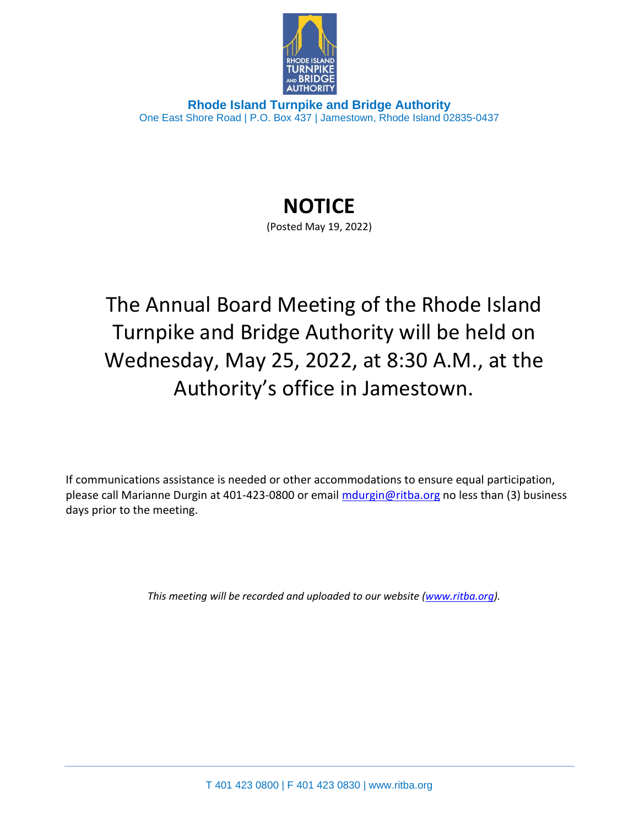

**Rhode Island Turnpike and Bridge Authority** One East Shore Road | P.O. Box 437 | Jamestown, Rhode Island 02835-0437

## **NOTICE**

(Posted May 19, 2022)

The Annual Board Meeting of the Rhode Island Turnpike and Bridge Authority will be held on Wednesday, May 25, 2022, at 8:30 A.M., at the Authority's office in Jamestown.

If communications assistance is needed or other accommodations to ensure equal participation, please call Marianne Durgin at 401-423-0800 or email [mdurgin@ritba.org](mailto:mdurgin@ritba.org) no less than (3) business days prior to the meeting.

*This meeting will be recorded and uploaded to our website [\(www.ritba.org\)](http://www.ritba.org/).*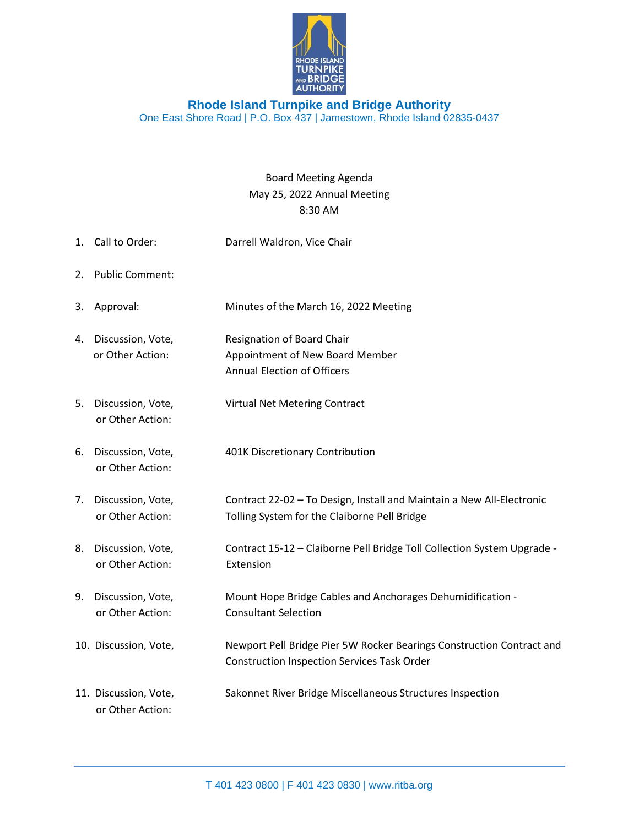

## **Rhode Island Turnpike and Bridge Authority** One East Shore Road | P.O. Box 437 | Jamestown, Rhode Island 02835-0437

## Board Meeting Agenda May 25, 2022 Annual Meeting 8:30 AM

1. Call to Order: Darrell Waldron, Vice Chair 2. Public Comment: 3. Approval: Minutes of the March 16, 2022 Meeting 4. Discussion, Vote, Resignation of Board Chair or Other Action: Appointment of New Board Member Annual Election of Officers 5. Discussion, Vote, Virtual Net Metering Contract or Other Action: 6. Discussion, Vote, 401K Discretionary Contribution or Other Action: 7. Discussion, Vote, Contract 22-02 – To Design, Install and Maintain a New All-Electronic or Other Action: Tolling System for the Claiborne Pell Bridge 8. Discussion, Vote, Contract 15-12 – Claiborne Pell Bridge Toll Collection System Upgrade or Other Action: Extension 9. Discussion, Vote, Mount Hope Bridge Cables and Anchorages Dehumidification or Other Action: Consultant Selection 10. Discussion, Vote, Newport Pell Bridge Pier 5W Rocker Bearings Construction Contract and Construction Inspection Services Task Order 11. Discussion, Vote, Sakonnet River Bridge Miscellaneous Structures Inspection or Other Action: